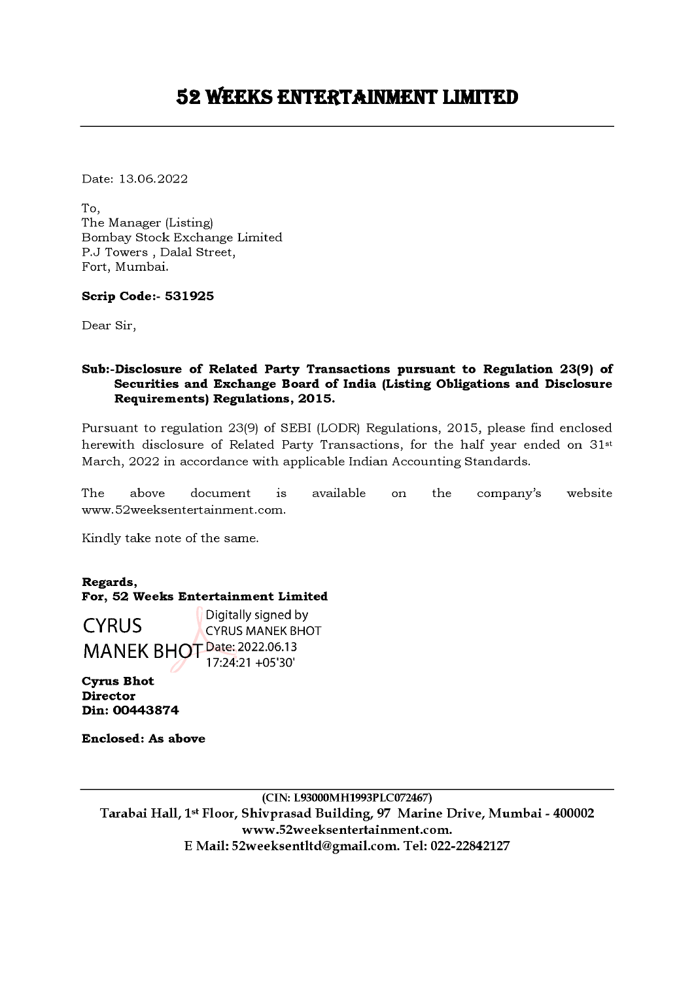Date: 13.06.2022

To, The Manager (Listing) Bombay Stock Exchange Limited P.J Towers , Dalal Street, Fort, Mumbai.

## Scrip Code:- 531925

Dear Sir,

# Sub:-Disclosure of Related Party Transactions pursuant to Regulation 23(9) of Securities and Exchange Board of India (Listing Obligations and Disclosure Requirements) Regulations, 2015.

Pursuant to regulation 23(9) of SEBI (LODR) Regulations, 2015, please find enclosed herewith disclosure of Related Party Transactions, for the half year ended on 31st March, 2022 in accordance with applicable Indian Accounting Standards.

The above document is available on the company's website www.S2weeksentertainment.com.

Kindly take note of the same.

Regards, For, 52 Weeks Entertainment Limited

**CYRUS** Digitally signed by CYRUS MANEK BHOT Date: 2022.06.13 17:24:21 +05'30' Fort, Mumbai.<br>
Scrip Code:- 531925<br>
Dear Sir,<br>
Sub:-Disclosure of Related Party Transas<br>
Securities and Exchange Board of I<br>
Requirements) Regulations, 2015.<br>
Pursuant to regulation 23(9) of SEBI (LOD<br>
herewith disclosure

Cyrus Bhot Director Din: 00443874

Enclosed: As above

(CIN: L93000MH1993PLC072467) Tarabai Hall, 1% Floor, Shivprasad Building, 97 Marine Drive, Mumbai - 400002 www.52weeksentertainment.com. E Mail: 52weeksentltd@gmail.com. Tel: 022-22842127